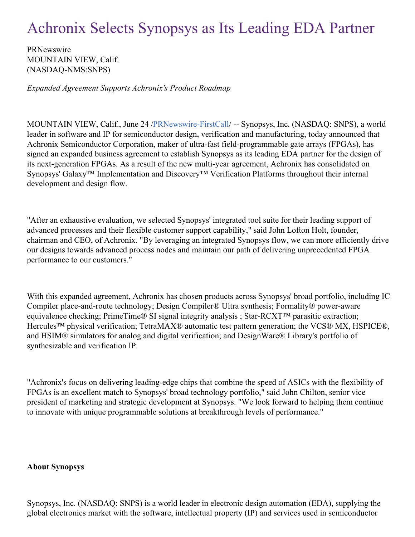## Achronix Selects Synopsys as Its Leading EDA Partner

PRNewswire MOUNTAIN VIEW, Calif. (NASDAQ-NMS:SNPS)

*Expanded Agreement Supports Achronix's Product Roadmap*

MOUNTAIN VIEW, Calif., June 24 [/PRNewswire-FirstCall](http://www.prnewswire.com/)/ -- Synopsys, Inc. (NASDAQ: SNPS), a world leader in software and IP for semiconductor design, verification and manufacturing, today announced that Achronix Semiconductor Corporation, maker of ultra-fast field-programmable gate arrays (FPGAs), has signed an expanded business agreement to establish Synopsys as its leading EDA partner for the design of its next-generation FPGAs. As a result of the new multi-year agreement, Achronix has consolidated on Synopsys' Galaxy™ Implementation and Discovery™ Verification Platforms throughout their internal development and design flow.

"After an exhaustive evaluation, we selected Synopsys' integrated tool suite for their leading support of advanced processes and their flexible customer support capability," said John Lofton Holt, founder, chairman and CEO, of Achronix. "By leveraging an integrated Synopsys flow, we can more efficiently drive our designs towards advanced process nodes and maintain our path of delivering unprecedented FPGA performance to our customers."

With this expanded agreement, Achronix has chosen products across Synopsys' broad portfolio, including IC Compiler place-and-route technology; Design Compiler® Ultra synthesis; Formality® power-aware equivalence checking; PrimeTime® SI signal integrity analysis ; Star-RCXT™ parasitic extraction; Hercules<sup>™</sup> physical verification; TetraMAX<sup>®</sup> automatic test pattern generation; the VCS<sup>®</sup> MX, HSPICE<sup>®</sup>, and HSIM® simulators for analog and digital verification; and DesignWare® Library's portfolio of synthesizable and verification IP.

"Achronix's focus on delivering leading-edge chips that combine the speed of ASICs with the flexibility of FPGAs is an excellent match to Synopsys' broad technology portfolio," said John Chilton, senior vice president of marketing and strategic development at Synopsys. "We look forward to helping them continue to innovate with unique programmable solutions at breakthrough levels of performance."

## **About Synopsys**

Synopsys, Inc. (NASDAQ: SNPS) is a world leader in electronic design automation (EDA), supplying the global electronics market with the software, intellectual property (IP) and services used in semiconductor